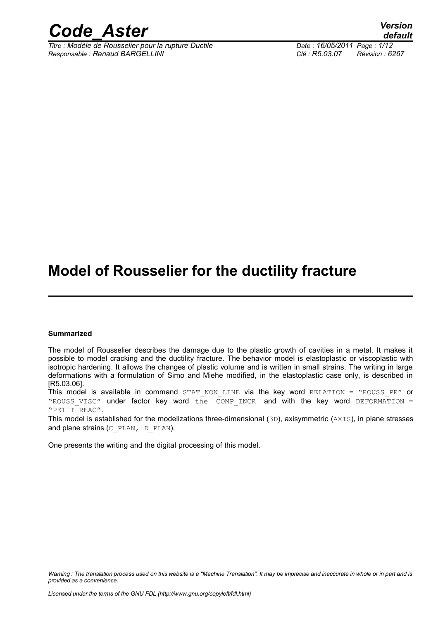

*Titre : Modèle de Rousselier pour la rupture Ductile Date : 16/05/2011 Page : 1/12 Responsable : Renaud BARGELLINI Clé : R5.03.07 Révision : 6267*

*default*

### **Model of Rousselier for the ductility fracture**

#### **Summarized**

The model of Rousselier describes the damage due to the plastic growth of cavities in a metal. It makes it possible to model cracking and the ductility fracture. The behavior model is elastoplastic or viscoplastic with isotropic hardening. It allows the changes of plastic volume and is written in small strains. The writing in large deformations with a formulation of Simo and Miehe modified, in the elastoplastic case only, is described in [R5.03.06].

This model is available in command STAT NON LINE via the key word RELATION = "ROUSS PR" or "ROUSS VISC" under factor key word the COMP INCR and with the key word DEFORMATION = "PETIT\_REAC".

This model is established for the modelizations three-dimensional (3D), axisymmetric (AXIS), in plane stresses and plane strains (C\_PLAN, D\_PLAN).

One presents the writing and the digital processing of this model.

*Warning : The translation process used on this website is a "Machine Translation". It may be imprecise and inaccurate in whole or in part and is provided as a convenience.*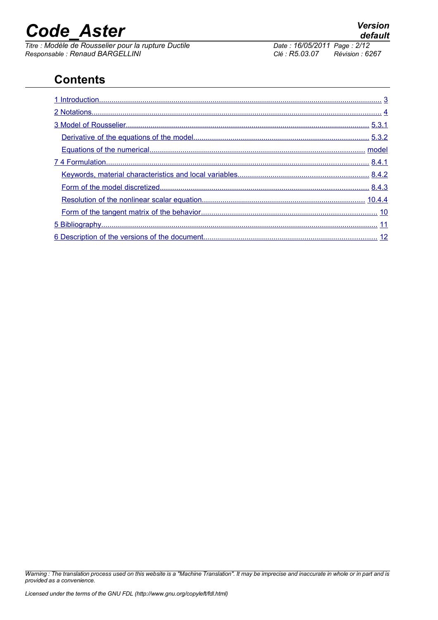*Titre : Modèle de Rousselier pour la rupture Ductile <i>Date : 16/05/2014 Date : 16/05/2011 Page : 2014 Page : 2014 Page : Page : 2014 <i>Page : 2014 Page : 2014 Page : 2014 Page : 2014 Page : 2014 Page Responsable : Renaud BARGELLINI Clé : R5.03.07 Révision : 6267*

#### **Contents**

*Warning : The translation process used on this website is a "Machine Translation". It may be imprecise and inaccurate in whole or in part and is provided as a convenience.*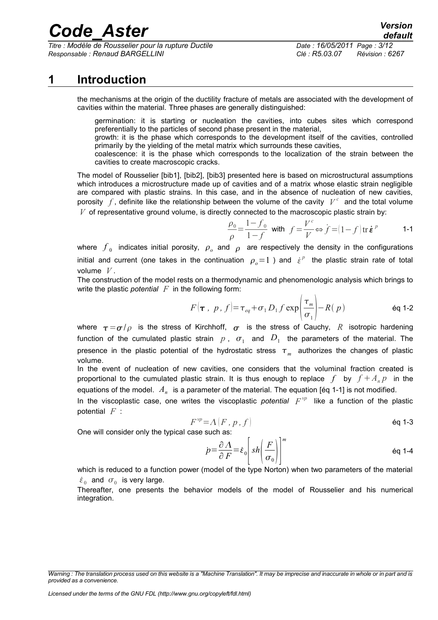*Titre : Modèle de Rousselier pour la rupture Ductile Date : 16/05/2011 Page : 3/12 Responsable : Renaud BARGELLINI Clé : R5.03.07 Révision : 6267*

#### **1 Introduction**

<span id="page-2-0"></span>the mechanisms at the origin of the ductility fracture of metals are associated with the development of cavities within the material. Three phases are generally distinguished:

germination: it is starting or nucleation the cavities, into cubes sites which correspond preferentially to the particles of second phase present in the material,

growth: it is the phase which corresponds to the development itself of the cavities, controlled primarily by the yielding of the metal matrix which surrounds these cavities,

coalescence: it is the phase which corresponds to the localization of the strain between the cavities to create macroscopic cracks.

The model of Rousselier [bib1], [bib2], [bib3] presented here is based on microstructural assumptions which introduces a microstructure made up of cavities and of a matrix whose elastic strain negligible are compared with plastic strains. In this case, and in the absence of nucleation of new cavities, porosity  $\overline{f}$ , definite like the relationship between the volume of the cavity  $\overline{V}^c$  and the total volume *V* of representative ground volume, is directly connected to the macroscopic plastic strain by:

$$
\frac{\rho_0}{\rho} = \frac{1 - f_0}{1 - f} \text{ with } f = \frac{V^c}{V} \Leftrightarrow f = (1 - f) \text{ tr } \dot{\boldsymbol{\varepsilon}}^p
$$
 1-1

where  $\,f_{\,0}\,$  indicates initial porosity,  $\,\rho_{_{o}}$  and  $\,\rho_{\,}\,$  are respectively the density in the configurations initial and current (one takes in the continuation  $\rho_{_o}{=}1$  ) and  $|{\dot\varepsilon}^{\scriptscriptstyle p}|$  the plastic strain rate of total volume *V* .

The construction of the model rests on a thermodynamic and phenomenologic analysis which brings to write the plastic *potential F* in the following form:

$$
F(\tau, p, f) = \tau_{eq} + \sigma_1 D_1 f \exp\left(\frac{\tau_m}{\sigma_1}\right) - R(p) \qquad \text{Eq 1-2}
$$

where  $\tau = \frac{\sigma}{\rho}$  is the stress of Kirchhoff,  $\sigma$  is the stress of Cauchy, R isotropic hardening function of the cumulated plastic strain  $p$  ,  $\sigma_{1}$  and  $D_{1}$  the parameters of the material. The presence in the plastic potential of the hydrostatic stress  $\tau_m^-$  authorizes the changes of plastic volume.

In the event of nucleation of new cavities, one considers that the voluminal fraction created is proportional to the cumulated plastic strain. It is thus enough to replace f by  $f + A_n p$  in the equations of the model.  $\,A_{n}\,$  is a parameter of the material. The equation [éq 1-1] is not modified.

In the viscoplastic case, one writes the viscoplastic *potential*  $F^{\nu p}$  like a function of the plastic potential *F* :

$$
F^{\nu p} = \Lambda (F, p, f)
$$

One will consider only the typical case such as:

$$
\dot{p} = \frac{\partial \Lambda}{\partial F} = \dot{\varepsilon}_0 \left[ sh \left( \frac{F}{\sigma_0} \right) \right]^m
$$

which is reduced to a function power (model of the type Norton) when two parameters of the material  $\dot{\varepsilon}_0$  and  $\sigma_0$  is very large.

Thereafter, one presents the behavior models of the model of Rousselier and his numerical integration.

*Warning : The translation process used on this website is a "Machine Translation". It may be imprecise and inaccurate in whole or in part and is provided as a convenience.*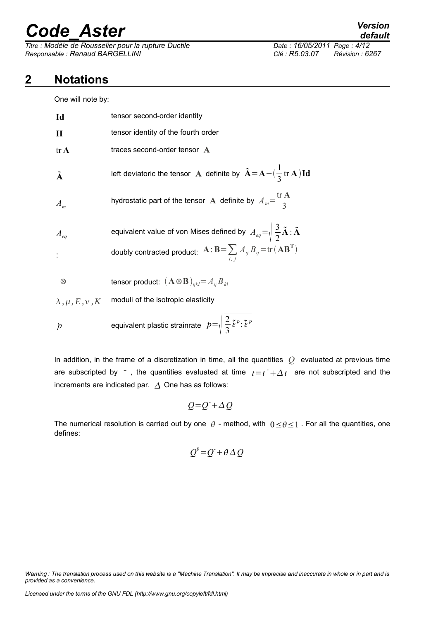$\overline{T}$ itre : Modèle de Rousselier pour la rupture Ductile *Responsable : Renaud BARGELLINI Clé : R5.03.07 Révision : 6267*

#### **2 Notations**

<span id="page-3-0"></span>One will note by:

| Id                        | tensor second-order identity                                                                                            |  |
|---------------------------|-------------------------------------------------------------------------------------------------------------------------|--|
| $\mathbf{I}$              | tensor identity of the fourth order                                                                                     |  |
| $tr\mathbf{A}$            | traces second-order tensor A                                                                                            |  |
| $\tilde{\mathbf{A}}$      | left deviatoric the tensor A definite by $\tilde{A} = A - (\frac{1}{3} tr A) Id$                                        |  |
| $A_{m}$                   | hydrostatic part of the tensor A definite by $A_m = \frac{\text{tr } \mathbf{A}}{2}$                                    |  |
| $A_{eq}$                  | equivalent value of von Mises defined by $A_{eq} = \sqrt{\frac{3}{2}\tilde{A}} \cdot \tilde{A}$                         |  |
|                           | doubly contracted product: $\mathbf{A} : \mathbf{B} = \sum A_{ij} B_{ij} = \text{tr}(\mathbf{A} \mathbf{B}^{\text{T}})$ |  |
| $\otimes$                 | tensor product: $(\mathbf{A} \otimes \mathbf{B})_{ijkl} = A_{ij} B_{kl}$                                                |  |
| $\lambda, \mu, E, \nu, K$ | moduli of the isotropic elasticity                                                                                      |  |
| $\dot{p}$                 | equivalent plastic strainrate $p=\sqrt{\frac{2}{3}}\tilde{\xi}^p:\tilde{\xi}^p$                                         |  |

In addition, in the frame of a discretization in time, all the quantities *Q* evaluated at previous time are subscripted by  $-$ , the quantities evaluated at time  $t = t<sup>-</sup> + \Delta t$  are not subscripted and the increments are indicated par.  $\Delta$  One has as follows:

$$
Q = Q + \Delta Q
$$

The numerical resolution is carried out by one  $\theta$  - method, with  $0 < \theta < 1$ . For all the quantities, one defines:

$$
Q^{\theta} = Q^{\dagger} + \theta \Delta Q
$$

*Warning : The translation process used on this website is a "Machine Translation". It may be imprecise and inaccurate in whole or in part and is provided as a convenience.*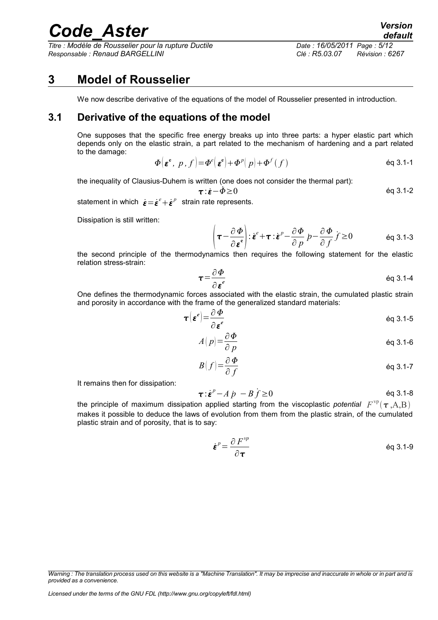*Titre : Modèle de Rousselier pour la rupture Ductile Date : 16/05/2011 Page : 5/12 Responsable : Renaud BARGELLINI Clé : R5.03.07 Révision : 6267*

*default*

#### **3 Model of Rousselier**

<span id="page-4-1"></span><span id="page-4-0"></span>We now describe derivative of the equations of the model of Rousselier presented in introduction.

#### **3.1 Derivative of the equations of the model**

One supposes that the specific free energy breaks up into three parts: a hyper elastic part which depends only on the elastic strain, a part related to the mechanism of hardening and a part related to the damage:

$$
\Phi\big(\boldsymbol{\varepsilon}^{\mathbf{e}},\ p\,,f\big) = \Phi^e\big(\boldsymbol{\varepsilon}^{\mathbf{e}}\big) + \Phi^p\big(\,p\big) + \Phi^f\big(f\,\big) \tag{6q 3.1-1}
$$

the inequality of Clausius-Duhem is written (one does not consider the thermal part):

 $\mathcal{L}$ 

$$
\boldsymbol{\tau} \cdot \boldsymbol{\dot{\epsilon}} - \boldsymbol{\dot{\phi}} \ge 0 \tag{6q 3.1-2}
$$

statement in which  $\dot{\boldsymbol{\varepsilon}} = \dot{\boldsymbol{\varepsilon}}^e + \dot{\boldsymbol{\varepsilon}}^p$  strain rate represents.

Dissipation is still written:

$$
\left(\boldsymbol{\tau} - \frac{\partial \boldsymbol{\Phi}}{\partial \boldsymbol{\varepsilon}}\right) : \dot{\boldsymbol{\varepsilon}}^e + \boldsymbol{\tau} : \dot{\boldsymbol{\varepsilon}}^p - \frac{\partial \boldsymbol{\Phi}}{\partial p} p - \frac{\partial \boldsymbol{\Phi}}{\partial f} \dot{f} \ge 0 \qquad \text{Eq 3.1-3}
$$

the second principle of the thermodynamics then requires the following statement for the elastic relation stress-strain:

$$
\tau = \frac{\partial \Phi}{\partial \varepsilon^e}
$$
 eq 3.1-4

One defines the thermodynamic forces associated with the elastic strain, the cumulated plastic strain and porosity in accordance with the frame of the generalized standard materials:

$$
\boldsymbol{\tau} \left( \boldsymbol{\varepsilon}^e \right) = \frac{\partial \boldsymbol{\Phi}}{\partial \boldsymbol{\varepsilon}^e}
$$

$$
A(p) = \frac{\partial \Phi}{\partial p}
$$
 eq 3.1-6

$$
B(f) = \frac{\partial \Phi}{\partial f}
$$
 eq 3.1-7

It remains then for dissipation:

$$
\boldsymbol{\tau} \cdot \dot{\boldsymbol{\varepsilon}}^p - A \, \dot{p} \, - B \, \dot{f} \ge 0 \tag{6q 3.1-8}
$$

the principle of maximum dissipation applied starting from the viscoplastic *potential*  $F^{\text{vp}}(\bm{\tau},\!{\text{A,B}})$ makes it possible to deduce the laws of evolution from them from the plastic strain, of the cumulated plastic strain and of porosity, that is to say:

$$
\dot{\boldsymbol{\varepsilon}}^p = \frac{\partial F^{\nu p}}{\partial \boldsymbol{\tau}}
$$

*Warning : The translation process used on this website is a "Machine Translation". It may be imprecise and inaccurate in whole or in part and is provided as a convenience.*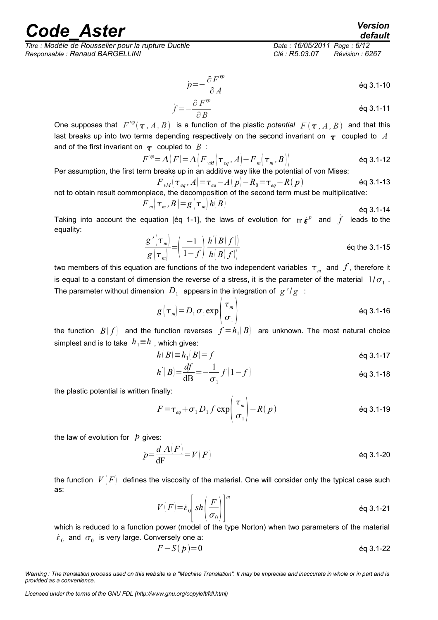*Titre : Modèle de Rousselier pour la rupture Ductile Date : 16/05/2011 Page : 6/12 Responsable : Renaud BARGELLINI Clé : R5.03.07 Révision : 6267*

*default*

$$
\dot{p} = -\frac{\partial F^{\nu p}}{\partial A} \qquad \qquad \text{Eq 3.1-10}
$$

$$
\dot{f} = -\frac{\partial F^{\nu p}}{\partial B} \tag{6q 3.1-11}
$$

One supposes that  $F^{\text{vp}}(\tau, A, B)$  is a function of the plastic *potential*  $F(\tau, A, B)$  and that this last breaks up into two terms depending respectively on the second invariant on  $\tau$  coupled to A and of the first invariant on  $\tau$  coupled to  $B$ :

$$
F^{\nu p} = \Lambda(F) = \Lambda\Big(F_{\nu M}\Big(\tau_{eq}, A\Big) + F_m\Big(\tau_m, B\Big)\Big) \tag{6q 3.1-12}
$$

Per assumption, the first term breaks up in an additive way like the potential of von Mises:

$$
F_{\nu M}(\tau_{eq}, A) = \tau_{eq} - A(p) - R_0 = \tau_{eq} - R(p)
$$
éq 3.1-13  
not to obtain result commonplace, the decomposition of the second term must be multiplicative:

$$
F_m(\tau_m, B) = g(\tau_m) h(B)
$$
\nEq 3.1-14

Taking into account the equation [éq 1-1], the laws of evolution for  $tr\ \dot{\bm{\epsilon}}^p$  and  $\dot{f}$  leads to the equality:

$$
\frac{g'(\tau_m)}{g(\tau_m)} = \left(\frac{-1}{1-f}\right) \frac{h'[B(f)]}{h[B(f)]}
$$
\nEq the 3.1-15

two members of this equation are functions of the two independent variables  $\tau_{_{m}}$  and  $\,f$  , therefore it is equal to a constant of dimension the reverse of a stress, it is the parameter of the material  $~1/\sigma_{_1}$  . The parameter without dimension  $|D_1|$  appears in the integration of  $|g|'/|g|$  :

$$
g\left(\tau_m\right) = D_1 \sigma_1 \exp\left(\frac{\tau_m}{\sigma_1}\right) \tag{6q 3.1-16}
$$

the function  $\ B(f)$  and the function reverses  $\ f\!=\!h_1(B)$  are unknown. The most natural choice simplest and is to take  $h_1 \equiv h$ , which gives:

$$
h(B) \equiv h_1(B) = f \qquad \qquad \text{Eq 3.1-17}
$$

$$
h^{'}|B| = \frac{df}{dB} = -\frac{1}{\sigma_1} f(1 - f)
$$

the plastic potential is written finally:

$$
F = \tau_{eq} + \sigma_1 D_1 f \exp\left(\frac{\tau_m}{\sigma_1}\right) - R(p) \tag{6q 3.1-19}
$$

the law of evolution for  $\dot{p}$  gives:

$$
p = \frac{d \Lambda(F)}{dF} = V(F)
$$
 eq 3.1-20

the function  $V(F)$  defines the viscosity of the material. One will consider only the typical case such as:

$$
V(F) = \varepsilon_0 \left[ sh \left( \frac{F}{\sigma_0} \right) \right]^m
$$

which is reduced to a function power (model of the type Norton) when two parameters of the material  $\varepsilon_{_0}$  and  $\, \sigma_{_0} \,$  is very large. Conversely one a:

$$
F - S(p) = 0 \tag{6q 3.1-22}
$$

*Warning : The translation process used on this website is a "Machine Translation". It may be imprecise and inaccurate in whole or in part and is provided as a convenience.*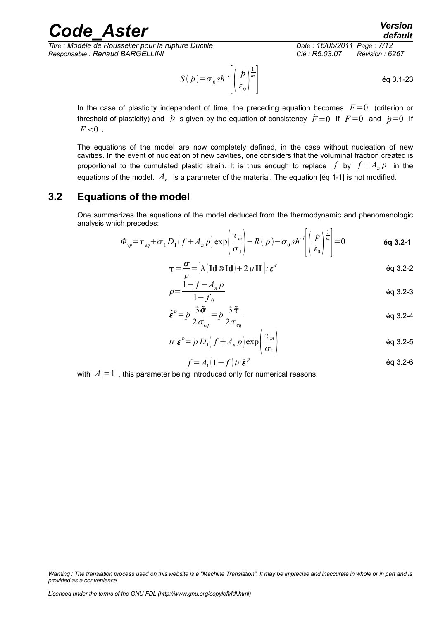*Titre : Modèle de Rousselier pour la rupture Ductile Date : 16/05/2011 Page : 7/12 Responsable : Renaud BARGELLINI Clé : R5.03.07 Révision : 6267*

$$
S(\dot{p}) = \sigma_0 sh^{-1} \left[ \left( \frac{\dot{p}}{\dot{\epsilon}_0} \right)^{\frac{1}{m}} \right]
$$
 eq 3.1-23

In the case of plasticity independent of time, the preceding equation becomes  $F=0$  (criterion or threshold of plasticity) and  $\dot{p}$  is given by the equation of consistency  $\dot{F}=0$  if  $F=0$  and  $\dot{p}=0$  if  $F<0$ .

The equations of the model are now completely defined, in the case without nucleation of new cavities. In the event of nucleation of new cavities, one considers that the voluminal fraction created is proportional to the cumulated plastic strain. It is thus enough to replace  $f$  by  $f + A_n p$  in the equations of the model.  $\,A_{n}\,$  is a parameter of the material. The equation [éq 1-1] is not modified.

#### **3.2 Equations of the model**

<span id="page-6-0"></span>One summarizes the equations of the model deduced from the thermodynamic and phenomenologic analysis which precedes:

$$
\Phi_{vp} = \tau_{eq} + \sigma_1 D_1 \left( f + A_n p \right) \exp \left( \frac{\tau_m}{\sigma_1} \right) - R \left( p \right) - \sigma_0 s h^{-1} \left( \left( \frac{\dot{p}}{\dot{\epsilon}_0} \right)^{\frac{1}{m}} \right) = 0 \qquad \text{6q 3.2-1}
$$

$$
\boldsymbol{\tau} = \frac{\boldsymbol{\sigma}}{\rho} = [\lambda (\mathbf{Id} \otimes \mathbf{Id}) + 2 \mu \mathbf{II}]. \boldsymbol{\varepsilon}^e
$$

$$
\rho = \frac{1 - f - A_n p}{1 - f_0}
$$
 \n $\text{eq } 3.2-3$ 

$$
\tilde{\boldsymbol{\varepsilon}}^p = p \frac{3\tilde{\boldsymbol{\sigma}}}{2\sigma_{eq}} = p \frac{3\tilde{\boldsymbol{\tau}}}{2\tau_{eq}}
$$

$$
tr \mathbf{\dot{\varepsilon}}^p = \dot{p} \, D_1 \big( f + A_n \, p \big) \exp \bigg( \frac{\tau_m}{\sigma_1} \bigg) \tag{6q 3.2-5}
$$

$$
\dot{f} = A_1 (1 - f) tr \dot{\boldsymbol{\epsilon}}^p
$$

with  $A_1=1$ , this parameter being introduced only for numerical reasons.

*Warning : The translation process used on this website is a "Machine Translation". It may be imprecise and inaccurate in whole or in part and is provided as a convenience.*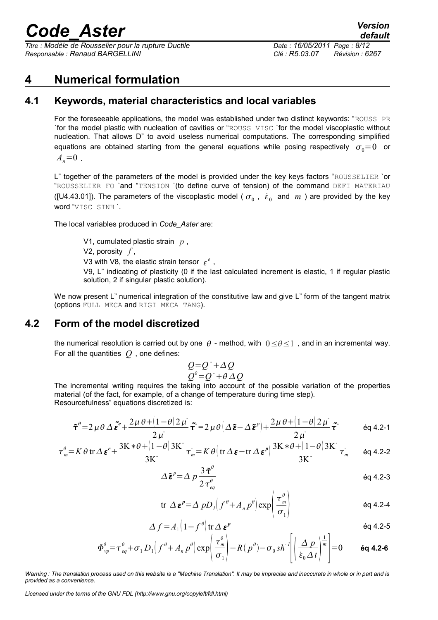*Titre : Modèle de Rousselier pour la rupture Ductile Date : 16/05/2011 Page : 8/12 Responsable : Renaud BARGELLINI Clé : R5.03.07 Révision : 6267*

#### <span id="page-7-2"></span>**4 Numerical formulation**

#### **4.1 Keywords, material characteristics and local variables**

<span id="page-7-1"></span>For the foreseeable applications, the model was established under two distinct keywords: "ROUSS\_PR `for the model plastic with nucleation of cavities or "ROUSS\_VISC `for the model viscoplastic without nucleation. That allows D" to avoid useless numerical computations. The corresponding simplified equations are obtained starting from the general equations while posing respectively  $\sigma_0=0$  or  $A_n=0$ .

L" together of the parameters of the model is provided under the key keys factors "ROUSSELIER `or "ROUSSELIER FO `and "TENSION `(to define curve of tension) of the command DEFI MATERIAU ([U4.43.01]). The parameters of the viscoplastic model ( $\sigma_0$ ,  $\dot{\epsilon}_0$  and  $m$ ) are provided by the key word "VISC\_SINH `.

The local variables produced in *Code\_Aster* are:

V1, cumulated plastic strain *p* , V2, porosity *f* , V3 with V8, the elastic strain tensor  $\varepsilon^e$ , V9, L" indicating of plasticity (0 if the last calculated increment is elastic, 1 if regular plastic solution, 2 if singular plastic solution).

We now present L" numerical integration of the constitutive law and give L" form of the tangent matrix (options FULL\_MECA and RIGI\_MECA\_TANG).

#### **4.2 Form of the model discretized**

<span id="page-7-0"></span>the numerical resolution is carried out by one  $\theta$  - method, with  $0 \le \theta \le 1$ , and in an incremental way. For all the quantities *Q* , one defines:

$$
Q=Q^{+}+ \Delta Q
$$
  

$$
Q^{\theta}=Q^{+}+\theta \Delta Q
$$

The incremental writing requires the taking into account of the possible variation of the properties material (of the fact, for example, of a change of temperature during time step). Resourcefulness" equations discretized is:

$$
\tilde{\tau}^{\theta} = 2 \mu \theta \Delta \tilde{\boldsymbol{\varepsilon}}^{\theta} + \frac{2 \mu \theta + (1 - \theta) 2 \mu}{2 \mu} \tilde{\boldsymbol{\tau}} = 2 \mu \theta \left( \Delta \tilde{\boldsymbol{\varepsilon}} - \Delta \tilde{\boldsymbol{\varepsilon}}^{\rho} \right) + \frac{2 \mu \theta + (1 - \theta) 2 \mu}{2 \mu} \tilde{\boldsymbol{\tau}}^{\theta} \qquad \text{eq 4.2-1}
$$

$$
\tau_m^{\theta} = K \theta \operatorname{tr} \Delta \boldsymbol{\varepsilon}^e + \frac{3K * \theta + (1 - \theta)3K}{3K} \tau_m^{\cdot} = K \theta \Big( \operatorname{tr} \Delta \boldsymbol{\varepsilon} - \operatorname{tr} \Delta \boldsymbol{\varepsilon}^p \Big) \frac{3K * \theta + (1 - \theta)3K}{3K} \tau_m^{\cdot} \qquad \text{Eq 4.2-2}
$$

$$
\Delta \tilde{\boldsymbol{\varepsilon}}^p = \Delta p \frac{3 \tilde{\boldsymbol{\tau}}^{\theta}}{2 \tau_{eq}^{\theta}}
$$
 \t\t\t\acute{e}q 4.2-3

$$
\text{tr }\Delta \boldsymbol{\varepsilon}^{p} = \Delta p D_{1} \Big( f^{\theta} + A_{n} p^{\theta} \Big) \exp \Bigg( \frac{\tau_{m}^{\theta}}{\sigma_{1}} \Bigg)
$$
\n
$$
\text{Eq 4.2-4}
$$

$$
\Delta f = A_1 \left( 1 - f^{\theta} \right) \text{tr} \, \Delta \, \boldsymbol{\varepsilon}^p
$$

$$
\Phi_{vp}^{\theta} = \tau_{eq}^{\theta} + \sigma_1 D_1 \Big(f^{\theta} + A_n p^{\theta}\Big) \exp\Bigg(\frac{\tau_m^{\theta}}{\sigma_1}\Bigg) - R\Big(p^{\theta}\Big) - \sigma_0 s h^{-1} \Bigg(\Bigg(\frac{\Delta p}{\dot{\varepsilon}_0 \Delta t}\Bigg)^{\frac{1}{m}}\Bigg) = 0 \qquad \text{6q 4.2-6}
$$

*Warning : The translation process used on this website is a "Machine Translation". It may be imprecise and inaccurate in whole or in part and is provided as a convenience.*

*Licensed under the terms of the GNU FDL (http://www.gnu.org/copyleft/fdl.html)*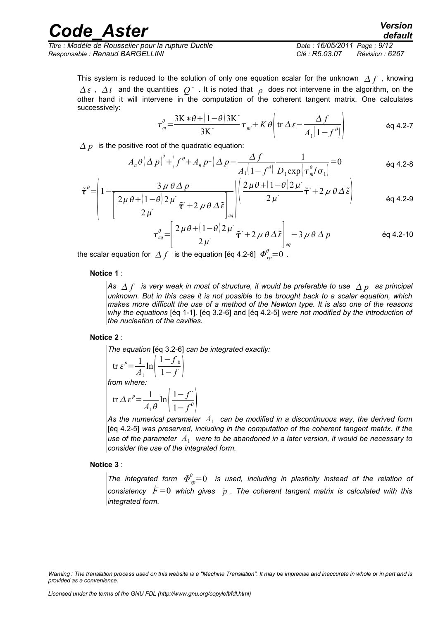| <b>Code Aster</b>                                    | <b>Version</b><br>default   |
|------------------------------------------------------|-----------------------------|
| Titre : Modèle de Rousselier pour la rupture Ductile | Date: 16/05/2011 Page: 9/12 |

*Responsable : Renaud BARGELLINI Clé : R5.03.07 Révision : 6267*

This system is reduced to the solution of only one equation scalar for the unknown  $\Delta f$ , knowing  $\varDelta\,\varepsilon$  ,  $\varDelta\,t$  and the quantities  $|Q^+|$ . It is noted that  $|\rho|$  does not intervene in the algorithm, on the other hand it will intervene in the computation of the coherent tangent matrix. One calculates successively:

$$
\tau_m^{\theta} = \frac{3K * \theta + (1 - \theta)3K}{3K} \tau_m + K \theta \left( \text{tr } \Delta \varepsilon - \frac{\Delta f}{A_1 (1 - f^{\theta})} \right) \tag{6q 4.2-7}
$$

 $\Delta p$  is the positive root of the quadratic equation:

$$
A_n \theta \left(\Delta p\right)^2 + \left(f^\theta + A_n p^{-1}\right) \Delta p - \frac{\Delta f}{A_1 \left(1 - f^\theta\right)} \frac{1}{D_1 \exp\left(\tau_m^\theta / \sigma_1\right)} = 0
$$

$$
\tilde{\tau}^{\theta} = \left(1 - \frac{3 \mu \theta \Delta p}{\left[\frac{2 \mu \theta + (1 - \theta) 2 \mu}{2 \mu} \tilde{\tau} + 2 \mu \theta \Delta \tilde{\epsilon}\right]_{eq}}\right) \left(\frac{2 \mu \theta + (1 - \theta) 2 \mu}{2 \mu} \tilde{\tau} + 2 \mu \theta \Delta \tilde{\epsilon}\right)
$$
eq 4.2-9

$$
\tau_{eq}^{\theta} = \left[ \frac{2\mu\theta + (1-\theta)2\mu}{2\mu} \tilde{\tau} + 2\mu\theta\Delta\tilde{\epsilon} \right]_{eq} - 3\mu\theta\Delta p
$$
 eq 4.2-10

the scalar equation for  $\varDelta f\;$  is the equation [éq 4.2-6]  $\varPhi^\theta_{vp} {=} 0\,$  .

#### **Notice 1** :

 $\bm{\mathsf{A}}$ s  $\bm{\mathsf{\Delta}}$   $f$   $\bm{\mathsf{\hat{s}}}$  very weak in most of structure, it would be preferable to use  $\bm{\mathsf{\Delta}}$   $p$   $\bm{\mathsf{\hat{a}}}$  as principal *unknown. But in this case it is not possible to be brought back to a scalar equation, which makes more difficult the use of a method of the Newton type. It is also one of the reasons why the equations* [éq 1-1]*,* [éq 3.2-6] and [éq 4.2-5] *were not modified by the introduction of the nucleation of the cavities.*

#### **Notice 2** :

*The equation* [éq 3.2-6] *can be integrated exactly:*  tr  $\varepsilon^p = \frac{1}{4}$  $\frac{1}{A_1}$ ln $\left(-\frac{1}{A_1}\right)$  $1-f_0$  $\overline{1-f}$ *from where:* -

$$
\operatorname{tr}\Delta\varepsilon^{p}=\frac{1}{A_{1}\theta}\ln\left(\frac{1-f}{1-f^{\theta}}\right)
$$

As the numerical parameter  $\,A_1^{}\,$  can be modified in a discontinuous way, the derived form [éq 4.2-5] *was preserved, including in the computation of the coherent tangent matrix. If the* use of the parameter  $\,A_1^{}\,$  were to be abandoned in a later version, it would be necessary to *consider the use of the integrated form.*

#### **Notice 3** :

The integrated form  $\varPhi^\theta_{vp} {=} 0$  is used, including in plasticity instead of the relation of *consistency*  $F=0$  which gives  $p$ . The coherent tangent matrix is calculated with this *integrated form.*

*Warning : The translation process used on this website is a "Machine Translation". It may be imprecise and inaccurate in whole or in part and is provided as a convenience.*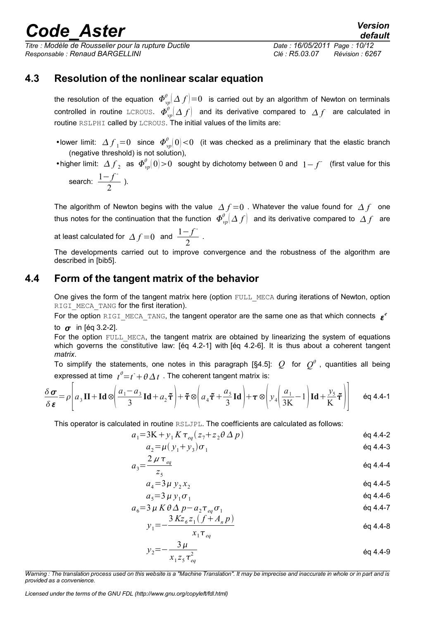*Titre : Modèle de Rousselier pour la rupture Ductile Date : 16/05/2011 Page : 10/12 Responsable : Renaud BARGELLINI Clé : R5.03.07 Révision : 6267*

*default*

#### **4.3 Resolution of the nonlinear scalar equation**

<span id="page-9-1"></span>the resolution of the equation  $\varPhi^\theta_{vp}[\varDelta\, f]\!=\!0\;$  is carried out by an algorithm of Newton on terminals controlled in routine LCROUS.  $\varPhi^\theta_{vp}(\varDelta\,f)$  and its derivative compared to  $\varDelta\,f$  are calculated in routine RSLPHI called by LCROUS. The initial values of the limits are:

• lower limit:  $\Delta f_{1}=0$  since  $\Phi^{\theta}_{vp}(0)<0$  (it was checked as a preliminary that the elastic branch (negative threshold) is not solution),

• higher limit:  $\Delta f$ <sub>2</sub> as  $\Phi_{vp}^{\theta}(0)$  > 0 sought by dichotomy between 0 and  $1-f^-$  (first value for this

search: 
$$
\frac{1-f}{2}
$$
 ).

The algorithm of Newton begins with the value  $\Delta f = 0$ . Whatever the value found for  $\Delta f$  one thus notes for the continuation that the function  $\varPhi^\theta_{vp}(\Delta\,f)$  and its derivative compared to  $\,\Delta\,f\,$  are

at least calculated for 
$$
\Delta f = 0
$$
 and  $\frac{1 - f^2}{2}$ 

The developments carried out to improve convergence and the robustness of the algorithm are described in [bib5].

.

#### **4.4 Form of the tangent matrix of the behavior**

<span id="page-9-0"></span>One gives the form of the tangent matrix here (option FULL MECA during iterations of Newton, option RIGI\_MECA\_TANG for the first iteration).

For the option RIGI\_MECA\_TANG, the tangent operator are the same one as that which connects  $\epsilon^e$ to  $\sigma$  in [éq 3.2-2].

For the option FULL MECA, the tangent matrix are obtained by linearizing the system of equations which governs the constitutive law: [éq 4.2-1] with [éq 4.2-6]. It is thus about a coherent tangent *matrix*.

To simplify the statements, one notes in this paragraph [§4.5]:  $Q$  for  $Q^{\theta}$  , quantities all being expressed at time  $t^{\theta}{=}\overline{t^{\texttt{i}}}+\theta\hspace{0.05cm}\Delta\hspace{0.05cm}t\hspace{0.05cm}$  . The coherent tangent matrix is:

$$
\frac{\delta \sigma}{\delta \epsilon} = \rho \left[ a_3 \mathbf{II} + \mathbf{Id} \otimes \left( \frac{a_1 - a_3}{3} \mathbf{Id} + a_2 \tilde{\boldsymbol{\tau}} \right) + \tilde{\boldsymbol{\tau}} \otimes \left( a_4 \tilde{\boldsymbol{\tau}} + \frac{a_5}{3} \mathbf{Id} \right) + \boldsymbol{\tau} \otimes \left( y_4 \left( \frac{a_1}{3K} - 1 \right) \mathbf{Id} + \frac{y_5}{K} \tilde{\boldsymbol{\tau}} \right) \right] \tag{6q 4.4-1}
$$

This operator is calculated in routine RSLJPL. The coefficients are calculated as follows:

$$
a_1 = 3K + y_1 K \tau_{eq}(z_7 + z_2 \theta \Delta p)
$$

$$
a_2 = \mu(y_1 + y_3)\sigma_1
$$

$$
a_3 = \frac{2 \mu \tau_{eq}}{z_5}
$$

$$
a_4 = 3\mu y_2 x_2 \qquad \qquad \text{Eq 4.4-5}
$$

$$
a_5 = 3 \mu y_1 \sigma_1 \tag{60.4.4-6}
$$

$$
a_6 = 3 \mu K \theta \Delta p - a_2 \tau_{eq} \sigma_1
$$
  
\n
$$
3 K z_6 z_1 (f + A_n p)
$$
  
\n
$$
4.4 - 7
$$
  
\n
$$
4.4 - 7
$$
  
\n
$$
4.4 - 7
$$
  
\n
$$
4.4 - 7
$$

$$
y_1 = -\frac{3K\omega_6 \omega_1 (f + A_n p)}{x_1 \tau_{eq}}
$$

$$
y_2 = -\frac{3\,\mu}{x_1 z_5 \tau_{eq}^2}
$$

*Warning : The translation process used on this website is a "Machine Translation". It may be imprecise and inaccurate in whole or in part and is provided as a convenience.*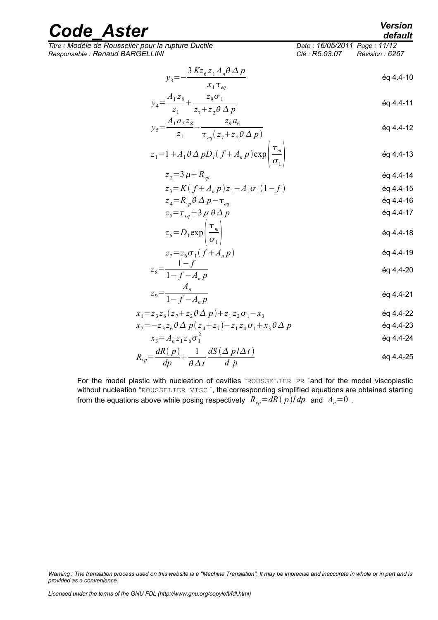*Titre : Modèle de Rousselier pour la rupture Ductile Date : 16/05/2011 Page : 11/12 Responsable : Renaud BARGELLINI Clé : R5.03.07 Révision : 6267*

$$
y_3 = -\frac{3 K z_6 z_1 A_n \theta \Delta p}{x_1 \tau_{eq}} \tag{6q 4.4-10}
$$

$$
y_4 = \frac{A_1 z_8}{z_1} + \frac{z_9 \sigma_1}{z_7 + z_2 \theta \Delta p}
$$
 \t\t\t\t\t $\text{\'eq } 4.4-11$ 

$$
y_5 = \frac{A_1 a_2 z_8}{z_1} - \frac{z_9 a_6}{\tau_{eq}(z_7 + z_2 \theta \Delta p)}
$$

$$
z_1 = 1 + A_1 \theta \Delta p D_I (f + A_n p) \exp\left(\frac{\tau_m}{\sigma_1}\right)
$$

$$
z_2 = 3 \mu + R_{vp} \tag{60.4.4-14}
$$

$$
z_3 = K(f + A_n p) z_1 - A_1 \sigma_1 (1 - f)
$$
\n
$$
z_3 = P_1 A_2 P_1 - T_2 A_3 P_2
$$
\n
$$
= P_2 A_3 P_1 - T_3 A_3 P_3
$$
\n
$$
= 69.4 A_1 16
$$

$$
z_4 - \Lambda_{vp} \circ \Delta p - \iota_{eq}
$$
  
\n
$$
z_5 = \tau_{eq} + 3 \mu \theta \Delta p
$$
  
\n
$$
\Theta 4.4-17
$$
  
\n
$$
\Theta 4.4-17
$$

$$
z_6 = D_1 \exp\left(\frac{\tau_m}{\sigma_1}\right) \tag{6q 4.4-18}
$$

$$
z_7 = z_6 \sigma_1 (f + A_n p) \tag{60.44-19}
$$

$$
z_8 = \frac{1 - f}{1 - f - A_n p}
$$

$$
z_9 = \frac{A_n}{1 - f - A_n p}
$$
 \t\t\t\t $\text{Eq } 4.4-21$ 

$$
x_1 = z_3 z_6 (z_7 + z_2 \theta \Delta p) + z_1 z_2 \sigma_1 - x_3
$$

$$
x_2 = -z_3 z_6 \theta \Delta p (z_4 + z_7) - z_1 z_4 \sigma_1 + x_3 \theta \Delta p
$$

$$
x_3 = A_n z_1 z_6 \sigma_1^2 \tag{6q 4.4-24}
$$

$$
R_{vp} = \frac{dR(p)}{dp} + \frac{1}{\theta \Delta t} \frac{dS(\Delta p/\Delta t)}{d\dot{p}}
$$

For the model plastic with nucleation of cavities "ROUSSELIER PR 'and for the model viscoplastic without nucleation "ROUSSELIER\_VISC `, the corresponding simplified equations are obtained starting from the equations above while posing respectively  $R_{vp}=dR(p)/dp$  and  $A_n=0$ .

*Warning : The translation process used on this website is a "Machine Translation". It may be imprecise and inaccurate in whole or in part and is provided as a convenience.*